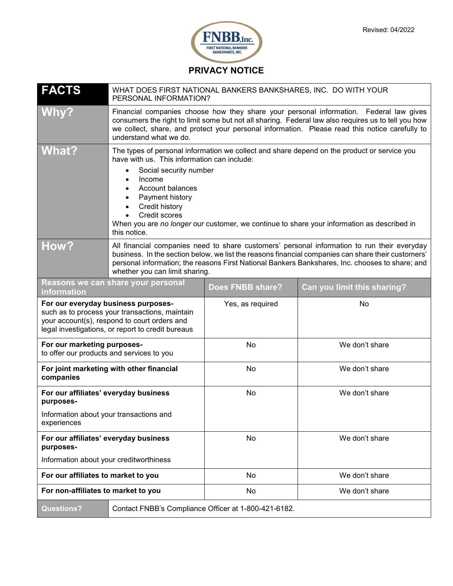

**PRIVACY NOTICE**

| <b>FACTS</b>                                                                                                                                                                               | WHAT DOES FIRST NATIONAL BANKERS BANKSHARES, INC. DO WITH YOUR<br>PERSONAL INFORMATION?                                                                                                                                                                                                                                                                                |                  |                             |
|--------------------------------------------------------------------------------------------------------------------------------------------------------------------------------------------|------------------------------------------------------------------------------------------------------------------------------------------------------------------------------------------------------------------------------------------------------------------------------------------------------------------------------------------------------------------------|------------------|-----------------------------|
| <b>Why?</b>                                                                                                                                                                                | Financial companies choose how they share your personal information. Federal law gives<br>consumers the right to limit some but not all sharing. Federal law also requires us to tell you how<br>we collect, share, and protect your personal information. Please read this notice carefully to<br>understand what we do.                                              |                  |                             |
| <b>What?</b>                                                                                                                                                                               | The types of personal information we collect and share depend on the product or service you<br>have with us. This information can include:<br>Social security number<br>Income<br>Account balances<br>Payment history<br>Credit history<br>Credit scores<br>When you are no longer our customer, we continue to share your information as described in<br>this notice. |                  |                             |
| <b>How?</b>                                                                                                                                                                                | All financial companies need to share customers' personal information to run their everyday<br>business. In the section below, we list the reasons financial companies can share their customers'<br>personal information; the reasons First National Bankers Bankshares, Inc. chooses to share; and<br>whether you can limit sharing.                                 |                  |                             |
| Reasons we can share your personal<br><i>information</i>                                                                                                                                   |                                                                                                                                                                                                                                                                                                                                                                        | Does FNBB share? | Can you limit this sharing? |
| For our everyday business purposes-<br>such as to process your transactions, maintain<br>your account(s), respond to court orders and<br>legal investigations, or report to credit bureaus |                                                                                                                                                                                                                                                                                                                                                                        | Yes, as required | No                          |
| For our marketing purposes-<br>to offer our products and services to you                                                                                                                   |                                                                                                                                                                                                                                                                                                                                                                        | No               | We don't share              |
| For joint marketing with other financial<br>companies                                                                                                                                      |                                                                                                                                                                                                                                                                                                                                                                        | No               | We don't share              |
| For our affiliates' everyday business<br>purposes-                                                                                                                                         |                                                                                                                                                                                                                                                                                                                                                                        | No               | We don't share              |
| Information about your transactions and<br>experiences                                                                                                                                     |                                                                                                                                                                                                                                                                                                                                                                        |                  |                             |
| For our affiliates' everyday business<br>purposes-                                                                                                                                         |                                                                                                                                                                                                                                                                                                                                                                        | No               | We don't share              |
| Information about your creditworthiness                                                                                                                                                    |                                                                                                                                                                                                                                                                                                                                                                        |                  |                             |
| For our affiliates to market to you                                                                                                                                                        |                                                                                                                                                                                                                                                                                                                                                                        | No               | We don't share              |
| For non-affiliates to market to you                                                                                                                                                        |                                                                                                                                                                                                                                                                                                                                                                        | No               | We don't share              |
| <b>Questions?</b>                                                                                                                                                                          | Contact FNBB's Compliance Officer at 1-800-421-6182.                                                                                                                                                                                                                                                                                                                   |                  |                             |